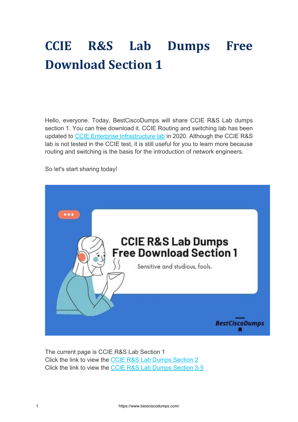# **CCIE R&S Lab Dumps Free Download Section 1**

Hello, everyone. Today, BestCiscoDumps will share CCIE R&S Lab dumps section 1. You can free download it. CCIE Routing and switching lab has been updated to [CCIE Enterprise Infrastructure lab](https://www.bestciscodumps.com/ccie-lab-dumps/ccie-enterprise-infrastructure-lab-dumps) in 2020. Although the CCIE R&S lab is not tested in the CCIE test, it is still useful for you to learn more because routing and switching is the basis for the introduction of network engineers.

So let's start sharing today!



The current page is CCIE R&S Lab Section 1 Click the link to view the [CCIE R&S Lab Dumps Section 2](https://www.bestciscodumps.com/news/ccie-r-s-v5-lab-workbook-pdf-section-2) Click the link to view the [CCIE R&S Lab Dumps Section 3-5](https://www.bestciscodumps.com/news/ccie-r-s-mock-lab-dumps-section-3-5)

1 https://www.bestciscodumps.com/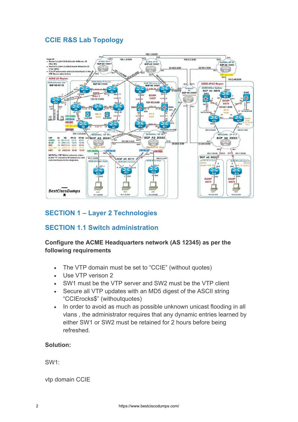### **CCIE R&S Lab Topology**



### **SECTION 1 – Layer 2 Technologies**

#### **SECTION 1.1 Switch administration**

#### **Configure the ACME Headquarters network (AS 12345) as per the following requirements**

- The VTP domain must be set to "CCIE" (without quotes)
- Use VTP verison 2
- SW1 must be the VTP server and SW2 must be the VTP client
- Secure all VTP updates with an MD5 digest of the ASCII string "CCIErocks\$" (withoutquotes)
- In order to avoid as much as possible unknown unicast flooding in all vlans , the administrator requires that any dynamic entries learned by either SW1 or SW2 must be retained for 2 hours before being refreshed.

#### **Solution:**

SW1:

vtp domain CCIE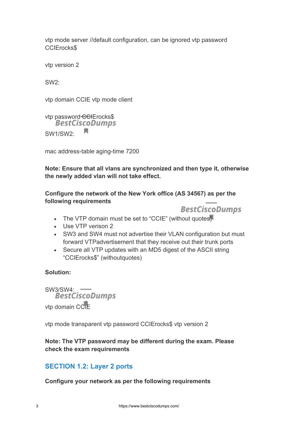vtp mode server //default configuration, can be ignored vtp password CCIErocks\$

vtp version 2

SW2:

vtp domain CCIE vtp mode client

vtp password CCIErocks\$<br>BestCiscoDumps л SW1/SW2:

mac address-table aging-time 7200

**Note: Ensure that all vlans are synchronized and then type it, otherwise the newly added vlan will not take effect.**

**Configure the network of the New York office (AS 34567) as per the following requirements**



- The VTP domain must be set to "CCIE" (without quotes)
- Use VTP verison 2
- SW3 and SW4 must not advertise their VLAN configuration but must forward VTPadvertisement that they receive out their trunk ports
- Secure all VTP updates with an MD5 digest of the ASCII string "CCIErocks\$" (withoutquotes)

#### **Solution:**

SW3/SW4: -----<br>BestCiscoDumps vtp domain CCIE

vtp mode transparent vtp password CCIErocks\$ vtp version 2

**Note: The VTP password may be different during the exam. Please check the exam requirements**

### **SECTION 1.2: Layer 2 ports**

**Configure your network as per the following requirements**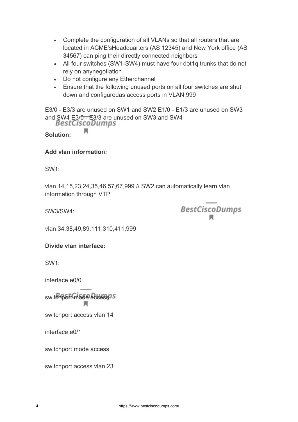- Complete the configuration of all VLANs so that all routers that are located in ACME'sHeadquarters (AS 12345) and New York office (AS 34567) can ping their directly connected neighbors
- All four switches (SW1-SW4) must have four dot1q trunks that do not rely on anynegotiation
- Do not configure any Etherchannel
- Ensure that the following unused ports on all four switches are shut down and configuredas access ports in VLAN 999

E3/0 - E3/3 are unused on SW1 and SW2 E1/0 - E1/3 are unused on SW3 and SW4 E3/0 - E3/3 are unused on SW3 and SW4<br>BestCiscoDumps

**Solution:**

#### **Add vlan information:**

н

SW1:

vlan 14,15,23,24,35,46,57,67,999 // SW2 can automatically learn vlan information through VTP

SW3/SW4:

**BestCiscoDumps** 

vlan 34,38,49,89,111,310,411,999

#### **Divide vlan interface:**

SW1:

interface e0/0

switchport mode access<sup>o s</sup>

switchport access vlan 14

interface e0/1

switchport mode access

switchport access vlan 23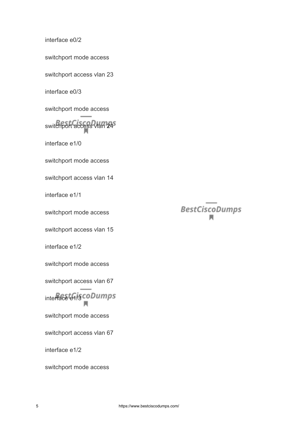interface e0/2

switchport mode access

switchport access vlan 23

interface e0/3

switchport mode access

switchport access vlan 245

interface e1/0

switchport mode access

switchport access vlan 14

interface e1/1

switchport mode access

switchport access vlan 15

interface e1/2

switchport mode access

switchport access vlan 67

interface e1/3 coDumps Ħ

switchport mode access

switchport access vlan 67

interface e1/2

switchport mode access

**BestCiscoDumps**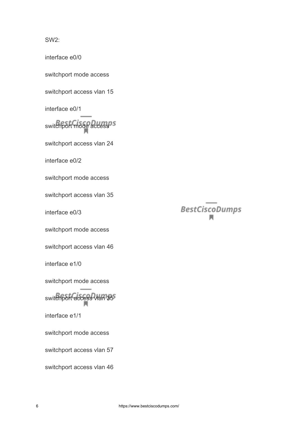SW2:

interface e0/0

switchport mode access

switchport access vlan 15

interface e0/1

switchport mode accessors

switchport access vlan 24

interface e0/2

switchport mode access

switchport access vlan 35

interface e0/3

switchport mode access

switchport access vlan 46

interface e1/0

switchport mode access

switchport access vlan 35<sup>5</sup>

interface e1/1

switchport mode access

switchport access vlan 57

switchport access vlan 46

# **BestCiscoDumps**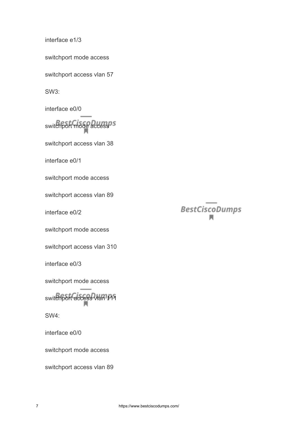interface e1/3

switchport mode access

switchport access vlan 57

SW3:

interface e0/0

switchport mode accessors

switchport access vlan 38

interface e0/1

switchport mode access

switchport access vlan 89

interface e0/2

switchport mode access

switchport access vlan 310

interface e0/3

switchport mode access

switchport access vlan 111

SW4:

interface e0/0

switchport mode access

switchport access vlan 89

# **BestCiscoDumps**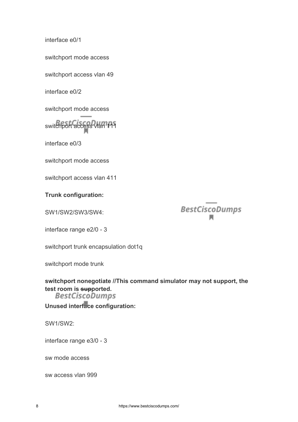interface e0/1

switchport mode access

switchport access vlan 49

interface e0/2

switchport mode access

switchport access vlan 111

interface e0/3

switchport mode access

switchport access vlan 411

**Trunk configuration:**

SW1/SW2/SW3/SW4:

**BestCiscoDumps** 

interface range e2/0 - 3

switchport trunk encapsulation dot1q

switchport mode trunk

**switchport nonegotiate //This command simulator may not support, the test room is supported.**

**Unused interface configuration:**

SW1/SW2:

interface range e3/0 - 3

sw mode access

sw access vlan 999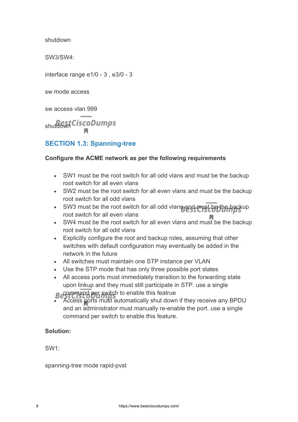shutdown

SW3/SW4:

interface range e1/0 - 3 , e3/0 - 3

sw mode access

sw access vlan 999

shutdown Cisco Dumps

## **SECTION 1.3: Spanning-tree**

#### **Configure the ACME network as per the following requirements**

- SW1 must be the root switch for all odd vlans and must be the backup root switch for all even vlans
- SW2 must be the root switch for all even vlans and must be the backup root switch for all odd vlans
- SW3 must be the root switch for all odd vlans and must be the backup root switch for all even vlans
- SW4 must be the root switch for all even vlans and must be the backup root switch for all odd vlans
- Explicitly configure the root and backup roles, assuming that other switches with default configuration may eventually be added in the network in the future
- All switches must maintain one STP instance per VLAN
- Use the STP mode that has only three possible port states
- All access ports must immediately transition to the forwarding state upon linkup and they must still participate in STP. use a single **B** command per switch to enable this featrue
- Access ports must automatically shut down if they receive any BPDU and an administrator must manually re-enable the port. use a single command per switch to enable this feature.

#### **Solution:**

SW1:

spanning-tree mode rapid-pvst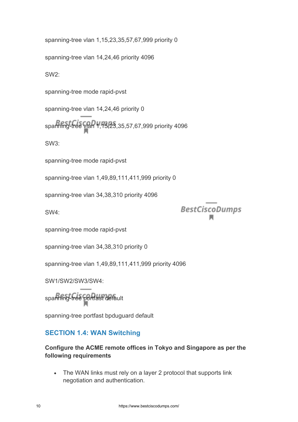spanning-tree vlan 1,15,23,35,57,67,999 priority 0

spanning-tree vlan 14,24,46 priority 4096

SW2:

spanning-tree mode rapid-pvst

spanning-tree vlan 14,24,46 priority 0

spanning-tree vlan 1,15,23,35,57,67,999 priority 4096

SW3:

spanning-tree mode rapid-pvst

spanning-tree vlan 1,49,89,111,411,999 priority 0

spanning-tree vlan 34,38,310 priority 4096

SW4:

**BestCiscoDumps** 

spanning-tree mode rapid-pvst

spanning-tree vlan 34,38,310 priority 0

spanning-tree vlan 1,49,89,111,411,999 priority 4096

SW1/SW2/SW3/SW4:

spanning-tree portfast default

spanning-tree portfast bpduguard default

#### **SECTION 1.4: WAN Switching**

#### **Configure the ACME remote offices in Tokyo and Singapore as per the following requirements**

• The WAN links must rely on a layer 2 protocol that supports link negotiation and authentication.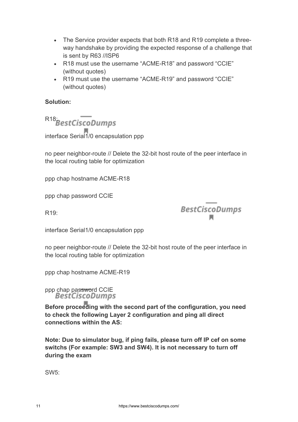- The Service provider expects that both R18 and R19 complete a threeway handshake by providing the expected response of a challenge that is sent by R63 //ISP6
- R18 must use the username "ACME-R18" and password "CCIE" (without quotes)
- R19 must use the username "ACME-R19" and password "CCIE" (without quotes)

#### **Solution:**

R<sub>18</sub>BestCiscoDumps

interface Serial1/0 encapsulation ppp

no peer neighbor-route // Delete the 32-bit host route of the peer interface in the local routing table for optimization

ppp chap hostname ACME-R18

ppp chap password CCIE

 $R19$ 

**BestCiscoDumps** 

interface Serial1/0 encapsulation ppp

no peer neighbor-route // Delete the 32-bit host route of the peer interface in the local routing table for optimization

ppp chap hostname ACME-R19

ppp chap password CCIE<br>BestCiscoDumps

**Before proceeding with the second part of the configuration, you need to check the following Layer 2 configuration and ping all direct connections within the AS:**

**Note: Due to simulator bug, if ping fails, please turn off IP cef on some switchs (For example: SW3 and SW4). It is not necessary to turn off during the exam**

SW5: